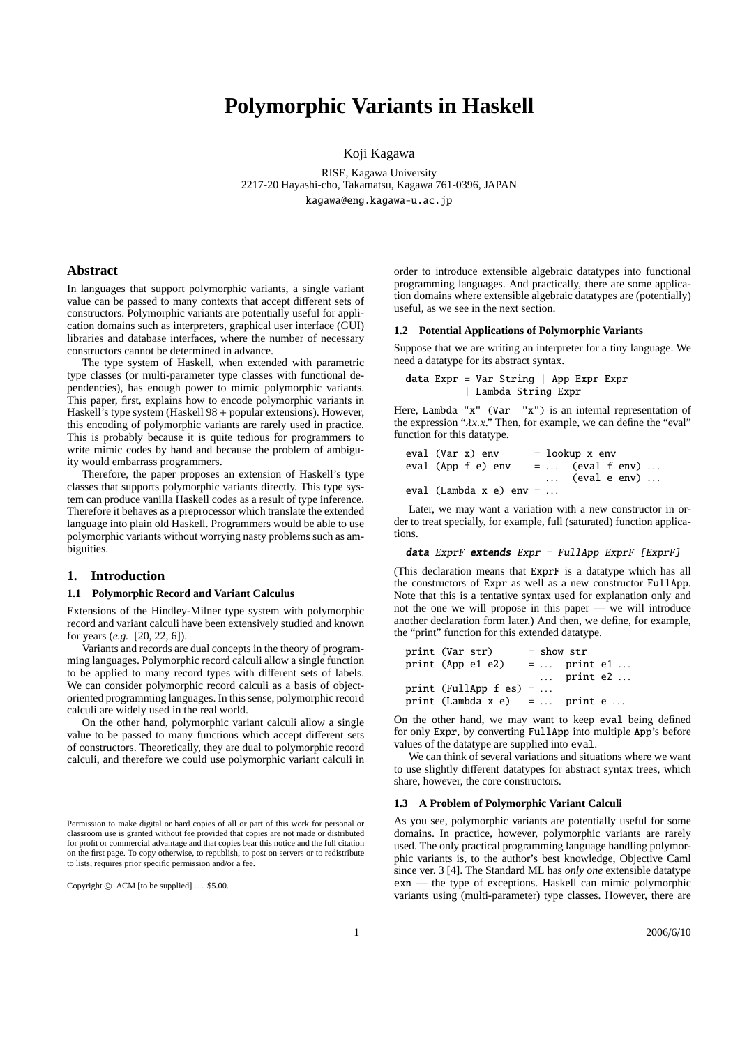# **Polymorphic Variants in Haskell**

Koji Kagawa

RISE, Kagawa University 2217-20 Hayashi-cho, Takamatsu, Kagawa 761-0396, JAPAN kagawa@eng.kagawa-u.ac.jp

# **Abstract**

In languages that support polymorphic variants, a single variant value can be passed to many contexts that accept different sets of constructors. Polymorphic variants are potentially useful for application domains such as interpreters, graphical user interface (GUI) libraries and database interfaces, where the number of necessary constructors cannot be determined in advance.

The type system of Haskell, when extended with parametric type classes (or multi-parameter type classes with functional dependencies), has enough power to mimic polymorphic variants. This paper, first, explains how to encode polymorphic variants in Haskell's type system (Haskell 98 + popular extensions). However, this encoding of polymorphic variants are rarely used in practice. This is probably because it is quite tedious for programmers to write mimic codes by hand and because the problem of ambiguity would embarrass programmers.

Therefore, the paper proposes an extension of Haskell's type classes that supports polymorphic variants directly. This type system can produce vanilla Haskell codes as a result of type inference. Therefore it behaves as a preprocessor which translate the extended language into plain old Haskell. Programmers would be able to use polymorphic variants without worrying nasty problems such as ambiguities.

# **1. Introduction**

#### **1.1 Polymorphic Record and Variant Calculus**

Extensions of the Hindley-Milner type system with polymorphic record and variant calculi have been extensively studied and known for years (*e.g.* [20, 22, 6]).

Variants and records are dual concepts in the theory of programming languages. Polymorphic record calculi allow a single function to be applied to many record types with different sets of labels. We can consider polymorphic record calculi as a basis of objectoriented programming languages. In this sense, polymorphic record calculi are widely used in the real world.

On the other hand, polymorphic variant calculi allow a single value to be passed to many functions which accept different sets of constructors. Theoretically, they are dual to polymorphic record calculi, and therefore we could use polymorphic variant calculi in order to introduce extensible algebraic datatypes into functional programming languages. And practically, there are some application domains where extensible algebraic datatypes are (potentially) useful, as we see in the next section.

### **1.2 Potential Applications of Polymorphic Variants**

Suppose that we are writing an interpreter for a tiny language. We need a datatype for its abstract syntax.

data Expr = Var String | App Expr Expr | Lambda String Expr

Here, Lambda "x" (Var "x") is an internal representation of the expression " $\lambda x.x$ ." Then, for example, we can define the "eval" function for this datatype.

| eval (Var x) env        |  | $=$ lookup x env                 |  |  |
|-------------------------|--|----------------------------------|--|--|
| eval (App f e) env      |  | $= \ldots$ (eval f env) $\ldots$ |  |  |
|                         |  | $\ldots$ (eval e env) $\ldots$   |  |  |
| eval (Lambda x e) env = |  |                                  |  |  |

Later, we may want a variation with a new constructor in order to treat specially, for example, full (saturated) function applications.

#### data ExprF extends Expr <sup>=</sup> FullApp ExprF [ExprF]

(This declaration means that ExprF is a datatype which has all the constructors of Expr as well as a new constructor FullApp. Note that this is a tentative syntax used for explanation only and not the one we will propose in this paper — we will introduce another declaration form later.) And then, we define, for example, the "print" function for this extended datatype.

| print (Var str)               | $=$ show str |                              |  |
|-------------------------------|--------------|------------------------------|--|
| print (App e1 e2)             |              | $= \ldots$ print e1 $\ldots$ |  |
|                               |              | $\ldots$ print e2 $\ldots$   |  |
| print (FullApp $f$ es) =      |              |                              |  |
| print (Lambda x e) =  print e |              |                              |  |

On the other hand, we may want to keep eval being defined for only Expr, by converting FullApp into multiple App's before values of the datatype are supplied into eval.

We can think of several variations and situations where we want to use slightly different datatypes for abstract syntax trees, which share, however, the core constructors.

#### **1.3 A Problem of Polymorphic Variant Calculi**

As you see, polymorphic variants are potentially useful for some domains. In practice, however, polymorphic variants are rarely used. The only practical programming language handling polymorphic variants is, to the author's best knowledge, Objective Caml since ver. 3 [4]. The Standard ML has *only one* extensible datatype exn — the type of exceptions. Haskell can mimic polymorphic variants using (multi-parameter) type classes. However, there are

Permission to make digital or hard copies of all or part of this work for personal or classroom use is granted without fee provided that copies are not made or distributed for profit or commercial advantage and that copies bear this notice and the full citation on the first page. To copy otherwise, to republish, to post on servers or to redistribute to lists, requires prior specific permission and/or a fee.

Copyright  $\odot$  ACM [to be supplied] ... \$5.00.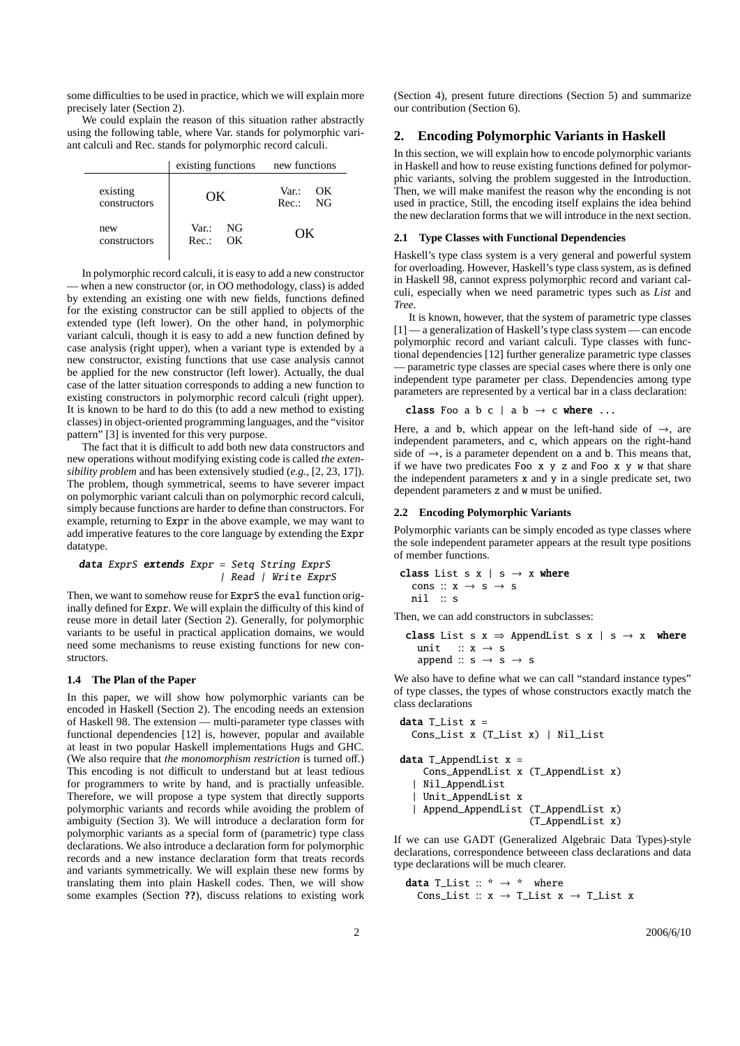some difficulties to be used in practice, which we will explain more precisely later (Section 2).

We could explain the reason of this situation rather abstractly using the following table, where Var. stands for polymorphic variant calculi and Rec. stands for polymorphic record calculi.

|                          | existing functions new functions |                        |  |  |
|--------------------------|----------------------------------|------------------------|--|--|
| existing<br>constructors | OΚ                               | Var :<br>OК<br>Rec: NG |  |  |
| new<br>constructors      | Var. NG<br>Rec.:<br>OК           | OΚ                     |  |  |

In polymorphic record calculi, it is easy to add a new constructor — when a new constructor (or, in OO methodology, class) is added by extending an existing one with new fields, functions defined for the existing constructor can be still applied to objects of the extended type (left lower). On the other hand, in polymorphic variant calculi, though it is easy to add a new function defined by case analysis (right upper), when a variant type is extended by a new constructor, existing functions that use case analysis cannot be applied for the new constructor (left lower). Actually, the dual case of the latter situation corresponds to adding a new function to existing constructors in polymorphic record calculi (right upper). It is known to be hard to do this (to add a new method to existing classes) in object-oriented programming languages, and the "visitor pattern" [3] is invented for this very purpose.

The fact that it is difficult to add both new data constructors and new operations without modifying existing code is called *the extensibility problem* and has been extensively studied (*e.g.,* [2, 23, 17]). The problem, though symmetrical, seems to have severer impact on polymorphic variant calculi than on polymorphic record calculi, simply because functions are harder to define than constructors. For example, returning to Expr in the above example, we may want to add imperative features to the core language by extending the Expr datatype.

data ExprS extends Expr <sup>=</sup> Setq String ExprS | Read | Write ExprS

Then, we want to somehow reuse for ExprS the eval function originally defined for Expr. We will explain the difficulty of this kind of reuse more in detail later (Section 2). Generally, for polymorphic variants to be useful in practical application domains, we would need some mechanisms to reuse existing functions for new constructors.

# **1.4 The Plan of the Paper**

In this paper, we will show how polymorphic variants can be encoded in Haskell (Section 2). The encoding needs an extension of Haskell 98. The extension — multi-parameter type classes with functional dependencies [12] is, however, popular and available at least in two popular Haskell implementations Hugs and GHC. (We also require that *the monomorphism restriction* is turned off.) This encoding is not difficult to understand but at least tedious for programmers to write by hand, and is practially unfeasible. Therefore, we will propose a type system that directly supports polymorphic variants and records while avoiding the problem of ambiguity (Section 3). We will introduce a declaration form for polymorphic variants as a special form of (parametric) type class declarations. We also introduce a declaration form for polymorphic records and a new instance declaration form that treats records and variants symmetrically. We will explain these new forms by translating them into plain Haskell codes. Then, we will show some examples (Section **??**), discuss relations to existing work (Section 4), present future directions (Section 5) and summarize our contribution (Section 6).

# **2. Encoding Polymorphic Variants in Haskell**

In this section, we will explain how to encode polymorphic variants in Haskell and how to reuse existing functions defined for polymorphic variants, solving the problem suggested in the Introduction. Then, we will make manifest the reason why the enconding is not used in practice, Still, the encoding itself explains the idea behind the new declaration forms that we will introduce in the next section.

## **2.1 Type Classes with Functional Dependencies**

Haskell's type class system is a very general and powerful system for overloading. However, Haskell's type class system, as is defined in Haskell 98, cannot express polymorphic record and variant calculi, especially when we need parametric types such as *List* and *Tree*.

It is known, however, that the system of parametric type classes [1] — a generalization of Haskell's type class system — can encode polymorphic record and variant calculi. Type classes with functional dependencies [12] further generalize parametric type classes — parametric type classes are special cases where there is only one independent type parameter per class. Dependencies among type parameters are represented by a vertical bar in a class declaration:

```
class Foo a b c | a b \rightarrow c where ...
```
Here, a and b, which appear on the left-hand side of  $\rightarrow$ , are independent parameters, and c, which appears on the right-hand side of  $\rightarrow$ , is a parameter dependent on a and b. This means that, if we have two predicates Foo x y z and Foo x y w that share the independent parameters x and y in a single predicate set, two dependent parameters z and w must be unified.

## **2.2 Encoding Polymorphic Variants**

Polymorphic variants can be simply encoded as type classes where the sole independent parameter appears at the result type positions of member functions.

```
class List s x \mid s \rightarrow x where
  cons :: x \rightarrow s \rightarrow snil :: s
```
Then, we can add constructors in subclasses:

**class** List 
$$
s x \Rightarrow
$$
 Appendix  $s x \mid s \rightarrow x$  where  
unit ::  $x \rightarrow s$   
append ::  $s \rightarrow s \rightarrow s$ 

We also have to define what we can call "standard instance types" of type classes, the types of whose constructors exactly match the class declarations

```
data T_List x =Cons_List x (T_List x) | Nil_List
data T_AppendList x =Cons_AppendList x (T_AppendList x)
  | Nil_AppendList
  | Unit_AppendList x
  | Append_AppendList (T_AppendList x)
                      (T_AppendList x)
```
If we can use GADT (Generalized Algebraic Data Types)-style declarations, correspondence betweeen class declarations and data type declarations will be much clearer.

data T\_List  $::$   $*$   $\rightarrow$   $*$  where Cons\_List ::  $x \rightarrow T$ \_List  $x \rightarrow T$ \_List x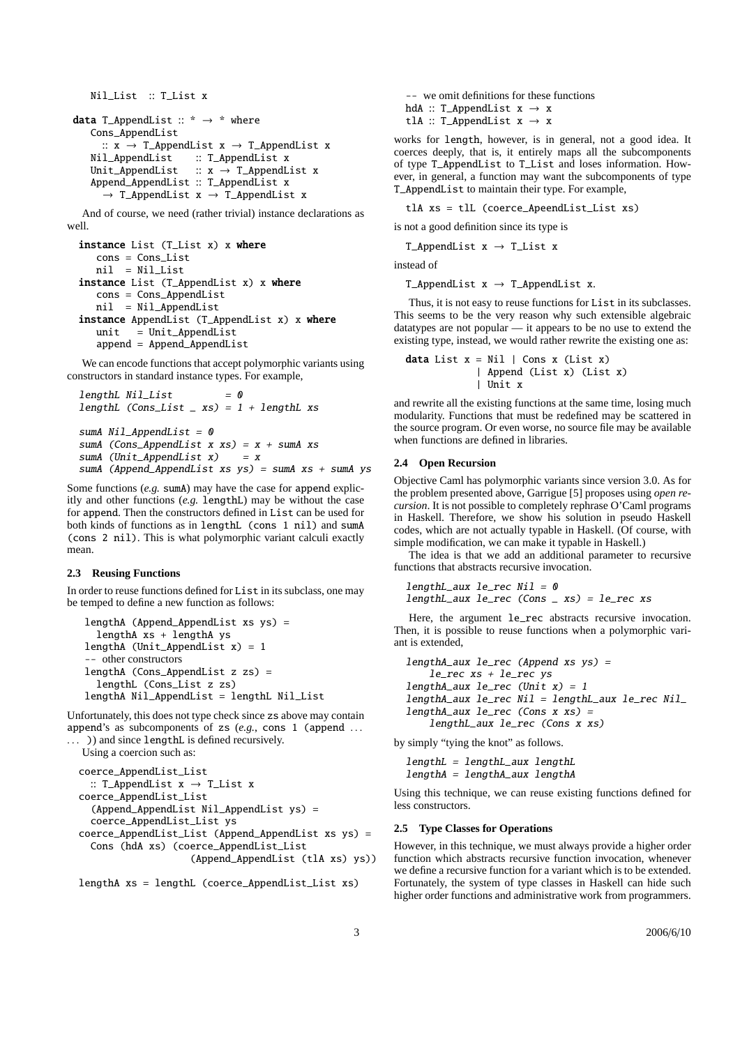```
Nil_List :: T_List x
data T_AppendList :: * \rightarrow * where
    Cons_AppendList
    :: x \rightarrow T_AppendList x \rightarrow T_AppendList x<br>Nil_AppendList :: T_AppendList x
                           :: T_AppendList x
    Unit_AppendList :: x \rightarrow T_AppendList x
    Append_AppendList :: T_AppendList x
       \rightarrow T_AppendList x \rightarrow T_AppendList x
```
And of course, we need (rather trivial) instance declarations as well.

```
instance List (T_List x) x where
  cons = Cons_List
  nil = Nil_List
instance List (T_AppendList x) x where
  cons = Cons_AppendList
  nil = Nil_AppendList
instance AppendList (T_AppendList x) x where
  unit = Unit\_AppendListappend = Append_AppendList
```
We can encode functions that accept polymorphic variants using constructors in standard instance types. For example,

```
lengthL Nil\_List = 0
lengthL (Cons_List \_ xs) = 1 + lengthL xssumA Nil\_AppendList = 0sumA (Cons_AppendList x xs) = x + sumA xs
sumA (Unit_AppendList x) = x
sumA (Append_AppendList xs ys) = sumA xs + sumA ys
```
Some functions (*e.g.* sumA) may have the case for append explicitly and other functions (*e.g.* lengthL) may be without the case for append. Then the constructors defined in List can be used for both kinds of functions as in lengthL (cons 1 nil) and sumA (cons 2 nil). This is what polymorphic variant calculi exactly mean.

#### **2.3 Reusing Functions**

In order to reuse functions defined for List in its subclass, one may be temped to define a new function as follows:

lengthA (Append\_AppendList xs ys) = lengthA xs + lengthA ys lengthA (Unit\_AppendList x) = 1 -- other constructors lengthA (Cons\_AppendList z zs) = lengthL (Cons\_List z zs) lengthA Nil\_AppendList = lengthL Nil\_List

Unfortunately, this does not type check since zs above may contain append's as subcomponents of zs (e.g., cons 1 (append ... ... )) and since lengthL is defined recursively.

```
Using a coercion such as:
coerce_AppendList_List
 :: T_AppendList x \rightarrow T_List x
coerce_AppendList_List
  (Append_AppendList Nil_AppendList ys) =
  coerce_AppendList_List ys
coerce_AppendList_List (Append_AppendList xs ys) =
 Cons (hdA xs) (coerce_AppendList_List
                    (Append_AppendList (tlA xs) ys))
```
lengthA xs = lengthL (coerce\_AppendList\_List xs)

-- we omit definitions for these functions hdA :: T\_AppendList  $x \rightarrow x$ tlA :: T\_AppendList  $x \rightarrow x$ 

works for length, however, is in general, not a good idea. It coerces deeply, that is, it entirely maps all the subcomponents of type T\_AppendList to T\_List and loses information. However, in general, a function may want the subcomponents of type T\_AppendList to maintain their type. For example,

tlA xs = tlL (coerce\_ApeendList\_List xs)

is not a good definition since its type is

T\_AppendList  $x \rightarrow T$ \_List x

instead of

T\_AppendList  $x \rightarrow T_A$ ppendList x.

Thus, it is not easy to reuse functions for List in its subclasses. This seems to be the very reason why such extensible algebraic datatypes are not popular — it appears to be no use to extend the existing type, instead, we would rather rewrite the existing one as:

```
data List x = Nil | Cons x (List x)
            | Append (List x) (List x)
            | Unit x
```
and rewrite all the existing functions at the same time, losing much modularity. Functions that must be redefined may be scattered in the source program. Or even worse, no source file may be available when functions are defined in libraries.

# **2.4 Open Recursion**

Objective Caml has polymorphic variants since version 3.0. As for the problem presented above, Garrigue [5] proposes using *open recursion*. It is not possible to completely rephrase O'Caml programs in Haskell. Therefore, we show his solution in pseudo Haskell codes, which are not actually typable in Haskell. (Of course, with simple modification, we can make it typable in Haskell.)

The idea is that we add an additional parameter to recursive functions that abstracts recursive invocation.

```
lengthL_aux le\_rec Nil = 0lengthL_aux le_rec (Cons _ xs) = le_rec xs
```
Here, the argument le\_rec abstracts recursive invocation. Then, it is possible to reuse functions when a polymorphic variant is extended,

```
lengthA_aux le_rec (Append xs ys) =
   le_rec xs + le_rec ys
lengthA_aux le\_rec (Unit x) = 1
lengthA_aux le_rec Nil = lengthL_aux le_rec Nil_
lengthA_aux le_rec (Cons x xs) =
   lengthL_aux le_rec (Cons x xs)
```
by simply "tying the knot" as follows.

lengthL <sup>=</sup> lengthL\_aux lengthL lengthA <sup>=</sup> lengthA\_aux lengthA

Using this technique, we can reuse existing functions defined for less constructors.

### **2.5 Type Classes for Operations**

However, in this technique, we must always provide a higher order function which abstracts recursive function invocation, whenever we define a recursive function for a variant which is to be extended. Fortunately, the system of type classes in Haskell can hide such higher order functions and administrative work from programmers.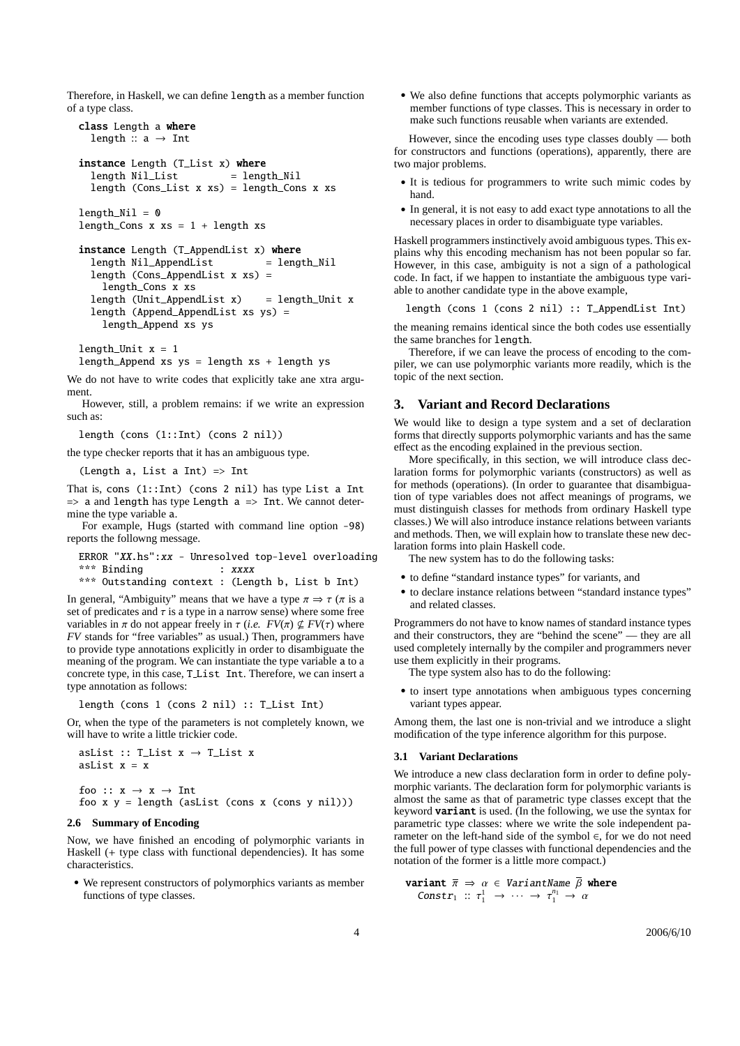Therefore, in Haskell, we can define length as a member function of a type class.

```
class Length a where
  length :: a \rightarrow Intinstance Length (T_List x) where
```

```
length Nil<sub>List</sub> = length<sub>Nil</sub>
length (Cons_List x xs) = length_Cons x xs
```

```
length_Mi1 = 0length_Cons x xs = 1 + length xs
```

```
instance Length (T_AppendList x) where
 length Nil_AppendList = length_Nil
 length (Cons_AppendList x xs) =
   length_Cons x xs
 length (Unit_AppendList x) = length_Unit x
 length (Append_AppendList xs ys) =
   length_Append xs ys
```
length Unit  $x = 1$ 

length\_Append xs  $ys = length xs + length ys$ 

We do not have to write codes that explicitly take ane xtra argument.

However, still, a problem remains: if we write an expression such as:

length (cons (1::Int) (cons 2 nil))

the type checker reports that it has an ambiguous type.

(Length a, List a Int)  $\Rightarrow$  Int

That is, cons (1::Int) (cons 2 nil) has type List a Int  $\Rightarrow$  a and length has type Length a  $\Rightarrow$  Int. We cannot determine the type variable a.

For example, Hugs (started with command line option -98) reports the followng message.

ERROR "XX.hs":xx - Unresolved top-level overloading \*\*\* Binding : xxxx

\*\*\* Outstanding context : (Length b, List b Int)

In general, "Ambiguity" means that we have a type  $\pi \Rightarrow \tau$  ( $\pi$  is a set of predicates and  $\tau$  is a type in a narrow sense) where some free variables in  $\pi$  do not appear freely in  $\tau$  (*i.e.*  $FV(\pi) \nsubseteq FV(\tau)$  where *FV* stands for "free variables" as usual.) Then, programmers have to provide type annotations explicitly in order to disambiguate the meaning of the program. We can instantiate the type variable a to a concrete type, in this case, T List Int. Therefore, we can insert a type annotation as follows:

length (cons 1 (cons 2 nil) :: T\_List Int)

Or, when the type of the parameters is not completely known, we will have to write a little trickier code.

```
asList :: T_List x \rightarrow T_List x
asList x = xfoo :: x \rightarrow x \rightarrow Intfoo x y = length (asList (cons x (cons y nil)))
```
# **2.6 Summary of Encoding**

Now, we have finished an encoding of polymorphic variants in Haskell (+ type class with functional dependencies). It has some characteristics.

• We represent constructors of polymorphics variants as member functions of type classes.

• We also define functions that accepts polymorphic variants as member functions of type classes. This is necessary in order to make such functions reusable when variants are extended.

However, since the encoding uses type classes doubly — both for constructors and functions (operations), apparently, there are two major problems.

- It is tedious for programmers to write such mimic codes by hand.
- In general, it is not easy to add exact type annotations to all the necessary places in order to disambiguate type variables.

Haskell programmers instinctively avoid ambiguous types. This explains why this encoding mechanism has not been popular so far. However, in this case, ambiguity is not a sign of a pathological code. In fact, if we happen to instantiate the ambiguous type variable to another candidate type in the above example,

length (cons 1 (cons 2 nil) :: T\_AppendList Int)

the meaning remains identical since the both codes use essentially the same branches for length.

Therefore, if we can leave the process of encoding to the compiler, we can use polymorphic variants more readily, which is the topic of the next section.

# **3. Variant and Record Declarations**

We would like to design a type system and a set of declaration forms that directly supports polymorphic variants and has the same effect as the encoding explained in the previous section.

More specifically, in this section, we will introduce class declaration forms for polymorphic variants (constructors) as well as for methods (operations). (In order to guarantee that disambiguation of type variables does not affect meanings of programs, we must distinguish classes for methods from ordinary Haskell type classes.) We will also introduce instance relations between variants and methods. Then, we will explain how to translate these new declaration forms into plain Haskell code.

The new system has to do the following tasks:

- to define "standard instance types" for variants, and
- to declare instance relations between "standard instance types" and related classes.

Programmers do not have to know names of standard instance types and their constructors, they are "behind the scene" — they are all used completely internally by the compiler and programmers never use them explicitly in their programs.

The type system also has to do the following:

• to insert type annotations when ambiguous types concerning variant types appear.

Among them, the last one is non-trivial and we introduce a slight modification of the type inference algorithm for this purpose.

## **3.1 Variant Declarations**

We introduce a new class declaration form in order to define polymorphic variants. The declaration form for polymorphic variants is almost the same as that of parametric type classes except that the keyword **variant** is used. (In the following, we use the syntax for parametric type classes: where we write the sole independent parameter on the left-hand side of the symbol ∈, for we do not need the full power of type classes with functional dependencies and the notation of the former is a little more compact.)

**variant** 
$$
\overline{\pi} \Rightarrow \alpha \in VariantName \overline{\beta}
$$
 where  
  $Construct_1 :: \tau_1^1 \rightarrow \cdots \rightarrow \tau_1^{n_1} \rightarrow \alpha$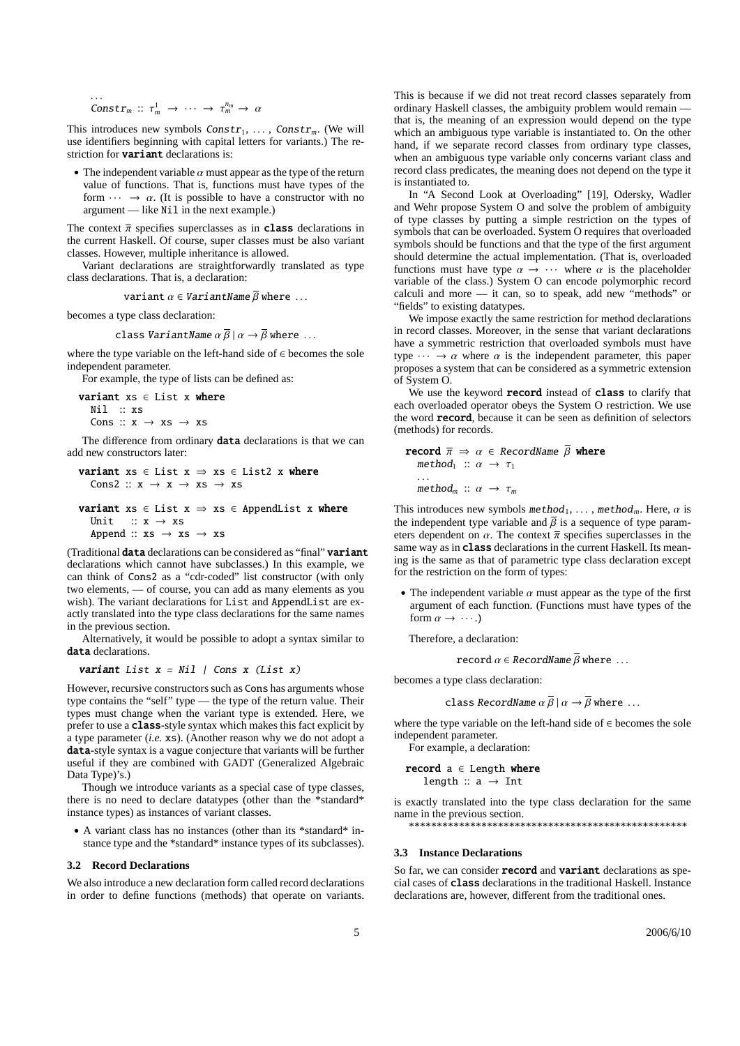$\text{Constr}_m :: \tau_m^1 \rightarrow \cdots \rightarrow \tau_m^{n_m} \rightarrow \alpha$ 

. . .

This introduces new symbols  $Constr_1, \ldots$ ,  $Constr_m$ . (We will use identifiers beginning with capital letters for variants.) The restriction for **variant** declarations is:

• The independent variable  $\alpha$  must appear as the type of the return value of functions. That is, functions must have types of the form  $\cdots \rightarrow \alpha$ . (It is possible to have a constructor with no argument — like Nil in the next example.)

The context  $\bar{\pi}$  specifies superclasses as in **class** declarations in the current Haskell. Of course, super classes must be also variant classes. However, multiple inheritance is allowed.

Variant declarations are straightforwardly translated as type class declarations. That is, a declaration:

variant  $\alpha \in \text{VariantName } \overline{\beta}$  where ...

becomes a type class declaration:

class *VariantName*  $\alpha \bar{\beta} | \alpha \rightarrow \bar{\beta}$  where ...

where the type variable on the left-hand side of ∈ becomes the sole independent parameter.

For example, the type of lists can be defined as:

```
variant xs ∈ List x where
  Nil :: xs
  Cons :: x \rightarrow xs \rightarrow xs
```
The difference from ordinary data declarations is that we can add new constructors later:

```
variant xs \in List x \Rightarrow xs \in List2 x where
  Cons2 :: x \rightarrow x \rightarrow xs \rightarrow xs
```

```
variant xs \in List x \Rightarrow xs \in Appendix x where
  Unit :: x \rightarrow xsAppend :: xs \rightarrow xs \rightarrow xs
```
(Traditional data declarations can be considered as "final" variant declarations which cannot have subclasses.) In this example, we can think of Cons2 as a "cdr-coded" list constructor (with only two elements, — of course, you can add as many elements as you wish). The variant declarations for List and AppendList are exactly translated into the type class declarations for the same names in the previous section.

Alternatively, it would be possible to adopt a syntax similar to data declarations.

variant List  $x = Nil$  | Cons  $x$  (List  $x$ )

However, recursive constructors such as Cons has arguments whose type contains the "self" type — the type of the return value. Their types must change when the variant type is extended. Here, we prefer to use a class-style syntax which makes this fact explicit by a type parameter (*i.e.* xs). (Another reason why we do not adopt a data-style syntax is a vague conjecture that variants will be further useful if they are combined with GADT (Generalized Algebraic Data Type)'s.)

Though we introduce variants as a special case of type classes, there is no need to declare datatypes (other than the \*standard\* instance types) as instances of variant classes.

• A variant class has no instances (other than its \*standard\* instance type and the \*standard\* instance types of its subclasses).

#### **3.2 Record Declarations**

We also introduce a new declaration form called record declarations in order to define functions (methods) that operate on variants.

This is because if we did not treat record classes separately from ordinary Haskell classes, the ambiguity problem would remain that is, the meaning of an expression would depend on the type which an ambiguous type variable is instantiated to. On the other hand, if we separate record classes from ordinary type classes, when an ambiguous type variable only concerns variant class and record class predicates, the meaning does not depend on the type it is instantiated to.

In "A Second Look at Overloading" [19], Odersky, Wadler and Wehr propose System O and solve the problem of ambiguity of type classes by putting a simple restriction on the types of symbols that can be overloaded. System O requires that overloaded symbols should be functions and that the type of the first argument should determine the actual implementation. (That is, overloaded functions must have type  $\alpha \rightarrow \cdots$  where  $\alpha$  is the placeholder variable of the class.) System O can encode polymorphic record calculi and more — it can, so to speak, add new "methods" or "fields" to existing datatypes.

We impose exactly the same restriction for method declarations in record classes. Moreover, in the sense that variant declarations have a symmetric restriction that overloaded symbols must have type  $\cdots \rightarrow \alpha$  where  $\alpha$  is the independent parameter, this paper proposes a system that can be considered as a symmetric extension of System O.

We use the keyword **record** instead of class to clarify that each overloaded operator obeys the System O restriction. We use the word record, because it can be seen as definition of selectors (methods) for records.

```
record \overline{\pi} \Rightarrow \alpha \in \text{RecordName } \overline{\beta} where
     method<sub>1</sub> :: \alpha \rightarrow \tau_1. . .
     method<sub>m</sub> :: \alpha \rightarrow \tau<sub>m</sub>
```
This introduces new symbols  $\mathsf{method}_1, \ldots, \mathsf{method}_m$ . Here,  $\alpha$  is the independent type variable and  $\overline{\beta}$  is a sequence of type parameters dependent on  $\alpha$ . The context  $\bar{\pi}$  specifies superclasses in the same way as in class declarations in the current Haskell. Its meaning is the same as that of parametric type class declaration except for the restriction on the form of types:

• The independent variable  $\alpha$  must appear as the type of the first argument of each function. (Functions must have types of the form  $\alpha \rightarrow \cdots$ .)

Therefore, a declaration:

record  $\alpha \in \text{RecordName } \overline{\beta}$  where ...

becomes a type class declaration:

class RecordName  $\alpha \overline{\beta} \mid \alpha \rightarrow \overline{\beta}$  where ...

where the type variable on the left-hand side of ∈ becomes the sole independent parameter.

For example, a declaration:

**record** 
$$
a \in Length
$$
 **where**   
length ::  $a \rightarrow Int$ 

is exactly translated into the type class declaration for the same name in the previous section. \*\*\*\*\*\*\*\*\*\*\*\*\*\*\*\*\*\*\*\*\*\*\*\*\*\*\*\*\*\*\*\*\*\*\*\*\*\*\*\*\*\*\*\*\*\*\*\*\*\*

### **3.3 Instance Declarations**

So far, we can consider record and variant declarations as special cases of class declarations in the traditional Haskell. Instance declarations are, however, different from the traditional ones.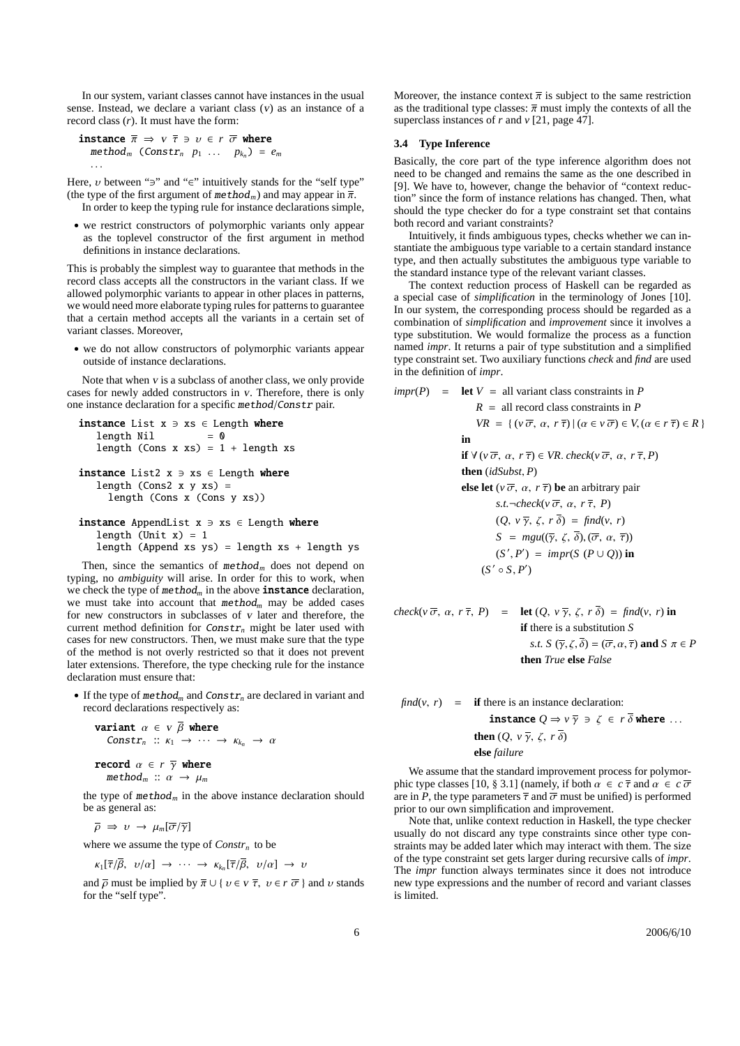In our system, variant classes cannot have instances in the usual sense. Instead, we declare a variant class (v) as an instance of a record class (*r*). It must have the form:

instance  $\overline{\pi} \Rightarrow v \overline{\tau} \Rightarrow v \in r \overline{\sigma}$  where  $\text{method}_m$  (Constr<sub>n</sub>  $p_1 \ldots p_{k_n}$ ) =  $e_m$ . . .

Here,  $\nu$  between " $\ni$ " and " $\in$ " intuitively stands for the "self type" (the type of the first argument of  $method_m$ ) and may appear in  $\overline{\pi}$ . In order to keep the typing rule for instance declarations simple,

• we restrict constructors of polymorphic variants only appear as the toplevel constructor of the first argument in method definitions in instance declarations.

This is probably the simplest way to guarantee that methods in the record class accepts all the constructors in the variant class. If we allowed polymorphic variants to appear in other places in patterns, we would need more elaborate typing rules for patterns to guarantee that a certain method accepts all the variants in a certain set of variant classes. Moreover,

• we do not allow constructors of polymorphic variants appear outside of instance declarations.

Note that when <sup>v</sup> is a subclass of another class, we only provide cases for newly added constructors in <sup>v</sup>. Therefore, there is only one instance declaration for a specific method/Constr pair.

```
instance List x \ni xs \in Length where
   length Nil = 0length (Cons x xs) = 1 + length xs
instance List2 x \ni xs \in Length where
  length (Cons2 x y xs) =
     length (Cons x (Cons y xs))
```

```
instance AppendList x \ni xs \in Length where
   length (Unit x) = 1
   length (Append xs ys) = length xs + length ys
```
Then, since the semantics of  $method_m$  does not depend on typing, no *ambiguity* will arise. In order for this to work, when we check the type of  $method_m$  in the above **instance** declaration, we must take into account that  $method_m$  may be added cases for new constructors in subclasses of  $v$  later and therefore, the current method definition for  $Constr_n$  might be later used with cases for new constructors. Then, we must make sure that the type of the method is not overly restricted so that it does not prevent later extensions. Therefore, the type checking rule for the instance declaration must ensure that:

• If the type of method*<sup>m</sup>* and Constr*<sup>n</sup>* are declared in variant and record declarations respectively as:

```
variant \alpha \in v \bar{\beta} where
     Constr<sub>n</sub> :: \kappa_1 \rightarrow \cdots \rightarrow \kappa_{k_n} \rightarrow \alpharecord \alpha \in r \bar{\gamma} where
     method_m :: \alpha \rightarrow \mu_m
```
the type of  $method_m$  in the above instance declaration should be as general as:

 $\overline{\rho} \Rightarrow v \rightarrow \mu_m[\overline{\sigma}/\overline{\gamma}]$ 

where we assume the type of *Constr<sup>n</sup>* to be

$$
\kappa_1[\overline{\tau}/\beta, \ v/\alpha] \rightarrow \cdots \rightarrow \kappa_{k_n}[\overline{\tau}/\beta, \ v/\alpha] \rightarrow v
$$

and  $\overline{\rho}$  must be implied by  $\overline{\pi} \cup \{ v \in v \overline{\tau}, v \in r \overline{\sigma} \}$  and  $v$  stands for the "self type".

Moreover, the instance context  $\bar{\pi}$  is subject to the same restriction as the traditional type classes:  $\bar{\pi}$  must imply the contexts of all the superclass instances of *r* and *v* [21, page 47].

# **3.4 Type Inference**

Basically, the core part of the type inference algorithm does not need to be changed and remains the same as the one described in [9]. We have to, however, change the behavior of "context reduction" since the form of instance relations has changed. Then, what should the type checker do for a type constraint set that contains both record and variant constraints?

Intuitively, it finds ambiguous types, checks whether we can instantiate the ambiguous type variable to a certain standard instance type, and then actually substitutes the ambiguous type variable to the standard instance type of the relevant variant classes.

The context reduction process of Haskell can be regarded as a special case of *simplification* in the terminology of Jones [10]. In our system, the corresponding process should be regarded as a combination of *simplification* and *improvement* since it involves a type substitution. We would formalize the process as a function named *impr*. It returns a pair of type substitution and a simplified type constraint set. Two auxiliary functions *check* and *find* are used in the definition of *impr*.

$$
impr(P) = \text{let } V = \text{ all variant class constraints in } P
$$
  
\n
$$
R = \text{ all record class constraints in } P
$$
  
\n
$$
VR = \{ (v \overline{\sigma}, \alpha, r \overline{\tau}) | (\alpha \in v \overline{\sigma}) \in V, (\alpha \in r \overline{\tau}) \in R \}
$$
  
\n
$$
\text{in}
$$
  
\nif  $\forall (v \overline{\sigma}, \alpha, r \overline{\tau}) \in VR. check(v \overline{\sigma}, \alpha, r \overline{\tau}, P)$   
\nthen *(idSubst, P)*  
\nelse let  $(v \overline{\sigma}, \alpha, r \overline{\tau})$  be an arbitrary pair  
\n*s.t.*¬check( $v \overline{\sigma}, \alpha, r \overline{\tau}, P$ )  
\n(*Q, v*  $\overline{\gamma}, \zeta, r \overline{\delta} ) = \text{find}(v, r)$   
\n*S = mgu((\overline{\gamma}, \zeta, \overline{\delta}), (\overline{\sigma}, \alpha, \overline{\tau}))*  
\n(*S', P')* = *impr(S (P ∪ Q))* in  
\n(*S'* ∘ *S, P'*)

$$
\begin{array}{rcl}\n\text{check}(v \overline{\sigma}, \alpha, r \overline{\tau}, P) & = & \text{let } (Q, v \overline{\gamma}, \zeta, r \overline{\delta}) = \text{find}(v, r) \text{ in} \\
& \text{if there is a substitution } S \\
& s.t. S (\overline{\gamma}, \zeta, \overline{\delta}) = (\overline{\sigma}, \alpha, \overline{\tau}) \text{ and } S \pi \in P \\
& \text{then } \text{True } \text{else } \text{False}\n\end{array}
$$

 $find(v, r) =$  **if** there is an instance declaration: **instance**  $Q \Rightarrow v \overline{\gamma} \Rightarrow \zeta \in r \overline{\delta}$  where ...

**then**  $(Q, v\overline{\gamma}, \zeta, r\overline{\delta})$ 

**else** *failure*

We assume that the standard improvement process for polymorphic type classes [10, § 3.1] (namely, if both  $\alpha \in c \overline{\tau}$  and  $\alpha \in c \overline{\sigma}$ are in *P*, the type parameters  $\bar{\tau}$  and  $\bar{\sigma}$  must be unified) is performed prior to our own simplification and improvement.

Note that, unlike context reduction in Haskell, the type checker usually do not discard any type constraints since other type constraints may be added later which may interact with them. The size of the type constraint set gets larger during recursive calls of *impr*. The *impr* function always terminates since it does not introduce new type expressions and the number of record and variant classes is limited.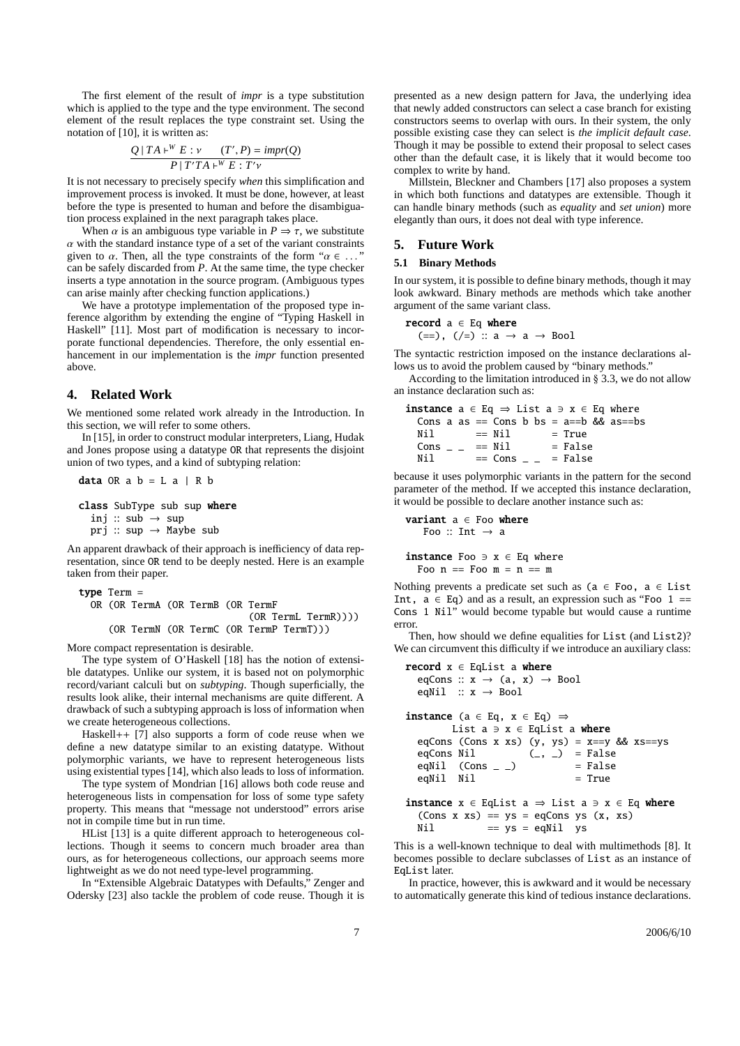The first element of the result of *impr* is a type substitution which is applied to the type and the type environment. The second element of the result replaces the type constraint set. Using the notation of [10], it is written as:

$$
\frac{Q \mid TA \vdash^W E : \nu \qquad (T', P) = impr(Q)}{P \mid T'TA \vdash^W E : T'\nu}
$$

It is not necessary to precisely specify *when* this simplification and improvement process is invoked. It must be done, however, at least before the type is presented to human and before the disambiguation process explained in the next paragraph takes place.

When  $\alpha$  is an ambiguous type variable in  $P \Rightarrow \tau$ , we substitute  $\alpha$  with the standard instance type of a set of the variant constraints given to  $\alpha$ . Then, all the type constraints of the form " $\alpha \in \dots$ " can be safely discarded from *P*. At the same time, the type checker inserts a type annotation in the source program. (Ambiguous types can arise mainly after checking function applications.)

We have a prototype implementation of the proposed type inference algorithm by extending the engine of "Typing Haskell in Haskell" [11]. Most part of modification is necessary to incorporate functional dependencies. Therefore, the only essential enhancement in our implementation is the *impr* function presented above.

# **4. Related Work**

We mentioned some related work already in the Introduction. In this section, we will refer to some others.

In [15], in order to construct modular interpreters, Liang, Hudak and Jones propose using a datatype OR that represents the disjoint union of two types, and a kind of subtyping relation:

class SubType sub sup where inj :: sub  $\rightarrow$  sup prj :: sup → Maybe sub

data OR  $a$   $b = L a$  | R  $b$ 

An apparent drawback of their approach is inefficiency of data representation, since OR tend to be deeply nested. Here is an example taken from their paper.

```
type Term =
 OR (OR TermA (OR TermB (OR TermF
                             (OR TermL TermR))))
     (OR TermN (OR TermC (OR TermP TermT)))
```
More compact representation is desirable.

The type system of O'Haskell [18] has the notion of extensible datatypes. Unlike our system, it is based not on polymorphic record/variant calculi but on *subtyping*. Though superficially, the results look alike, their internal mechanisms are quite different. A drawback of such a subtyping approach is loss of information when we create heterogeneous collections.

Haskell++ [7] also supports a form of code reuse when we define a new datatype similar to an existing datatype. Without polymorphic variants, we have to represent heterogeneous lists using existential types [14], which also leads to loss of information.

The type system of Mondrian [16] allows both code reuse and heterogeneous lists in compensation for loss of some type safety property. This means that "message not understood" errors arise not in compile time but in run time.

HList [13] is a quite different approach to heterogeneous collections. Though it seems to concern much broader area than ours, as for heterogeneous collections, our approach seems more lightweight as we do not need type-level programming.

In "Extensible Algebraic Datatypes with Defaults," Zenger and Odersky [23] also tackle the problem of code reuse. Though it is presented as a new design pattern for Java, the underlying idea that newly added constructors can select a case branch for existing constructors seems to overlap with ours. In their system, the only possible existing case they can select is *the implicit default case*. Though it may be possible to extend their proposal to select cases other than the default case, it is likely that it would become too complex to write by hand.

Millstein, Bleckner and Chambers [17] also proposes a system in which both functions and datatypes are extensible. Though it can handle binary methods (such as *equality* and *set union*) more elegantly than ours, it does not deal with type inference.

# **5. Future Work**

#### **5.1 Binary Methods**

In our system, it is possible to define binary methods, though it may look awkward. Binary methods are methods which take another argument of the same variant class.

$$
\textbf{record}~a \in Eq~\textbf{where}
$$

 $(==), (/-) :: a \rightarrow a \rightarrow Bool$ 

The syntactic restriction imposed on the instance declarations allows us to avoid the problem caused by "binary methods."

According to the limitation introduced in § 3.3, we do not allow an instance declaration such as:

```
instance a \in Eq \Rightarrow List a \ni x \in Eq where
  Cons a as == Cons b bs = a==b && as==bs
  Nil \qquad == Nil \qquad = TrueCons \qquad = Nil = False
  Nil \qquad == \text{Cons} \qquad \qquad = \text{False}
```
because it uses polymorphic variants in the pattern for the second parameter of the method. If we accepted this instance declaration, it would be possible to declare another instance such as:

```
variant a \in Foo where
   Foo :: Int \rightarrow a
```
instance Foo  $\exists$  x  $\in$  Eq where Foo  $n ==$  Foo  $m = n == m$ 

Nothing prevents a predicate set such as ( $a \in F$ oo,  $a \in List$ Int,  $a \in Eq$ ) and as a result, an expression such as "Foo 1 == Cons 1 Nil" would become typable but would cause a runtime error.

Then, how should we define equalities for List (and List2)? We can circumvent this difficulty if we introduce an auxiliary class:

```
record x \in EqList a where
  eqCons :: x \rightarrow (a, x) \rightarrow Bool
  eqNil :: x \rightarrow Bool
instance (a ∈ Eq, x \in Eq) ⇒
        List a \ni x \in EqList a where
  eqCons (Cons x xs) (y, ys) = x == y && xs == yseqCons Nil (, ) = False
  eqNil (Cons _{\_} ) = False
  eqNil Nil = True
instance x \in EqList a \Rightarrow List a \Rightarrow x \in Eq where
  (Cons x xs) == ys = eqCons ys (x, xs)Nil == ys = eqNil ys
```
This is a well-known technique to deal with multimethods [8]. It becomes possible to declare subclasses of List as an instance of EqList later.

In practice, however, this is awkward and it would be necessary to automatically generate this kind of tedious instance declarations.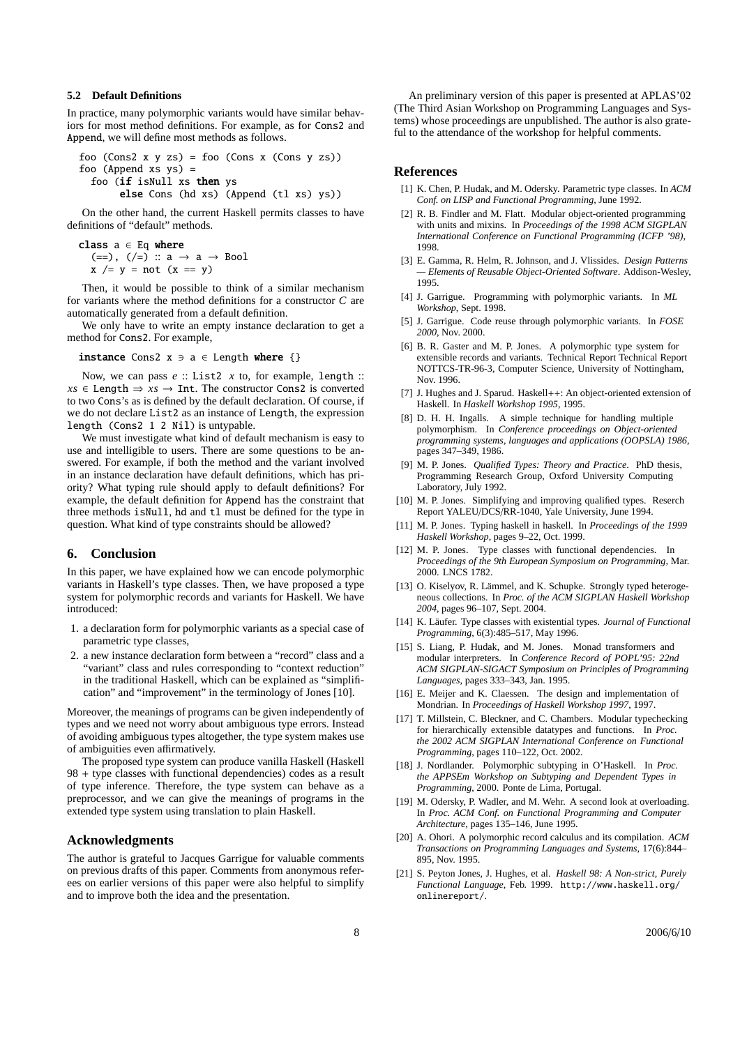### **5.2 Default Definitions**

In practice, many polymorphic variants would have similar behaviors for most method definitions. For example, as for Cons2 and Append, we will define most methods as follows.

foo (Cons2 x y zs) = foo (Cons x (Cons y zs)) foo (Append xs ys) = foo (if isNull xs then ys else Cons (hd xs) (Append (tl xs) ys))

On the other hand, the current Haskell permits classes to have definitions of "default" methods.

class  $a \in Eq$  where  $(==)$ ,  $(\neq)$  :: a  $\rightarrow$  a  $\rightarrow$  Bool  $x$  /=  $y$  = not ( $x == y$ )

Then, it would be possible to think of a similar mechanism for variants where the method definitions for a constructor *C* are automatically generated from a default definition.

We only have to write an empty instance declaration to get a method for Cons2. For example,

instance Cons2  $x \ni a \in$  Length where  $\{\}$ 

Now, we can pass *e* :: List2 *x* to, for example, length ::  $xs \in \text{Length} \Rightarrow \text{xs} \rightarrow \text{Int}$ . The constructor Cons2 is converted to two Cons's as is defined by the default declaration. Of course, if we do not declare List2 as an instance of Length, the expression length (Cons2 1 2 Nil) is untypable.

We must investigate what kind of default mechanism is easy to use and intelligible to users. There are some questions to be answered. For example, if both the method and the variant involved in an instance declaration have default definitions, which has priority? What typing rule should apply to default definitions? For example, the default definition for Append has the constraint that three methods isNull, hd and tl must be defined for the type in question. What kind of type constraints should be allowed?

# **6. Conclusion**

In this paper, we have explained how we can encode polymorphic variants in Haskell's type classes. Then, we have proposed a type system for polymorphic records and variants for Haskell. We have introduced:

- 1. a declaration form for polymorphic variants as a special case of parametric type classes,
- 2. a new instance declaration form between a "record" class and a "variant" class and rules corresponding to "context reduction" in the traditional Haskell, which can be explained as "simplification" and "improvement" in the terminology of Jones [10].

Moreover, the meanings of programs can be given independently of types and we need not worry about ambiguous type errors. Instead of avoiding ambiguous types altogether, the type system makes use of ambiguities even affirmatively.

The proposed type system can produce vanilla Haskell (Haskell 98 + type classes with functional dependencies) codes as a result of type inference. Therefore, the type system can behave as a preprocessor, and we can give the meanings of programs in the extended type system using translation to plain Haskell.

# **Acknowledgments**

The author is grateful to Jacques Garrigue for valuable comments on previous drafts of this paper. Comments from anonymous referees on earlier versions of this paper were also helpful to simplify and to improve both the idea and the presentation.

An preliminary version of this paper is presented at APLAS'02 (The Third Asian Workshop on Programming Languages and Systems) whose proceedings are unpublished. The author is also grateful to the attendance of the workshop for helpful comments.

# **References**

- [1] K. Chen, P. Hudak, and M. Odersky. Parametric type classes. In *ACM Conf. on LISP and Functional Programming*, June 1992.
- [2] R. B. Findler and M. Flatt. Modular object-oriented programming with units and mixins. In *Proceedings of the 1998 ACM SIGPLAN International Conference on Functional Programming (ICFP '98)*, 1998.
- [3] E. Gamma, R. Helm, R. Johnson, and J. Vlissides. *Design Patterns — Elements of Reusable Object-Oriented Software*. Addison-Wesley, 1995.
- [4] J. Garrigue. Programming with polymorphic variants. In *ML Workshop*, Sept. 1998.
- [5] J. Garrigue. Code reuse through polymorphic variants. In *FOSE 2000*, Nov. 2000.
- [6] B. R. Gaster and M. P. Jones. A polymorphic type system for extensible records and variants. Technical Report Technical Report NOTTCS-TR-96-3, Computer Science, University of Nottingham, Nov. 1996.
- [7] J. Hughes and J. Sparud. Haskell++: An object-oriented extension of Haskell. In *Haskell Workshop 1995*, 1995.
- [8] D. H. H. Ingalls. A simple technique for handling multiple polymorphism. In *Conference proceedings on Object-oriented programming systems, languages and applications (OOPSLA) 1986*, pages 347–349, 1986.
- [9] M. P. Jones. *Qualified Types: Theory and Practice*. PhD thesis, Programming Research Group, Oxford University Computing Laboratory, July 1992.
- [10] M. P. Jones. Simplifying and improving qualified types. Reserch Report YALEU/DCS/RR-1040, Yale University, June 1994.
- [11] M. P. Jones. Typing haskell in haskell. In *Proceedings of the 1999 Haskell Workshop*, pages 9–22, Oct. 1999.
- [12] M. P. Jones. Type classes with functional dependencies. In *Proceedings of the 9th European Symposium on Programming*, Mar. 2000. LNCS 1782.
- [13] O. Kiselyov, R. Lämmel, and K. Schupke. Strongly typed heterogeneous collections. In *Proc. of the ACM SIGPLAN Haskell Workshop 2004*, pages 96–107, Sept. 2004.
- [14] K. Läufer. Type classes with existential types. *Journal of Functional Programming*, 6(3):485–517, May 1996.
- [15] S. Liang, P. Hudak, and M. Jones. Monad transformers and modular interpreters. In *Conference Record of POPL'95: 22nd ACM SIGPLAN-SIGACT Symposium on Principles of Programming Languages*, pages 333–343, Jan. 1995.
- [16] E. Meijer and K. Claessen. The design and implementation of Mondrian. In *Proceedings of Haskell Workshop 1997*, 1997.
- [17] T. Millstein, C. Bleckner, and C. Chambers. Modular typechecking for hierarchically extensible datatypes and functions. In *Proc. the 2002 ACM SIGPLAN International Conference on Functional Programming*, pages 110–122, Oct. 2002.
- [18] J. Nordlander. Polymorphic subtyping in O'Haskell. In *Proc. the APPSEm Workshop on Subtyping and Dependent Types in Programming*, 2000. Ponte de Lima, Portugal.
- [19] M. Odersky, P. Wadler, and M. Wehr. A second look at overloading. In *Proc. ACM Conf. on Functional Programming and Computer Architecture*, pages 135–146, June 1995.
- [20] A. Ohori. A polymorphic record calculus and its compilation. *ACM Transactions on Programming Languages and Systems*, 17(6):844– 895, Nov. 1995.
- [21] S. Peyton Jones, J. Hughes, et al. *Haskell 98: A Non-strict, Purely Functional Language*, Feb. 1999. http://www.haskell.org/ onlinereport/.